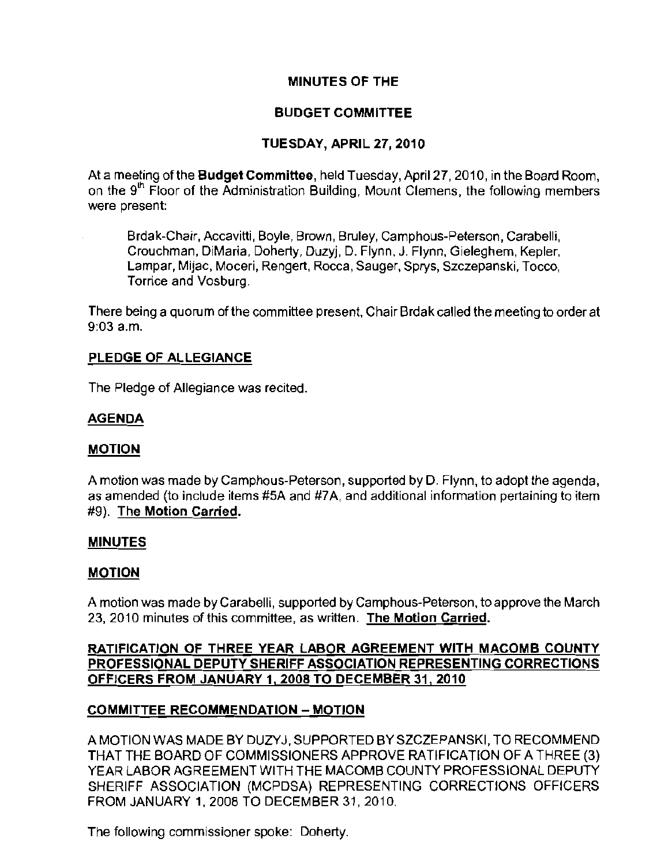# MINUTES OF THE

# BUDGET COMMITTEE

# TUESDAY, APRIL 27, 2010

At a meeting of the Budget Committee, held Tuesday, April 27, 2010, in the Board Room, on the 9<sup>th</sup> Floor of the Administration Building, Mount Clemens, the following members were present:

Brdak-Chair, Accavitti, Boyle, Brown, Bruley, Camphous-Peterson, Carabelli, Crouchman, DiMaria, Doherty, Duzyj, D. Flynn, J. Flynn, Gieleghem, Kepler, Lampar, Mijac, Moceri, Rengert, Rocca, Sauger, Sprys, Szczepanski, Tocco, Torrice and Vosburg.

There being a quorum of the committee present, Chair Brdak called the meeting to order at 9:03 a.m.

## PLEDGE OF ALLEGIANCE

The Pledge of Allegiance was recited.

## AGENDA

#### **MOTION**

A motion was made by Camphous-Peterson, supported by D. Flynn, to adopt the agenda, as amended (to include items #5A and #7A, and additional information pertaining to item #9). The Motion Carried.

#### MINUTES

## MOTION

A motion was made by Carabelli, supported by Camphous-Pelerson, to approve the March 23,2010 minutes of this committee, as written. The Motion Carried.

## RATIFICATION OF THREE YEAR LABOR AGREEMENT WITH MACOMB COUNTY PROFESSIONAL DEPUTY SHERIFF ASSOCIATION REPRESENTING CORRECTIONS OFFICERS FROM JANUARY 1,2008 TO DECEMBER 31,2010

## COMMITTEE RECOMMENDATION - MOTION

A MOTION WAS MADE BY DUZYJ, SUPPORTED BY SZCZEPANSKI, TO RECOMMEND THAT THE BOARD OF COMMISSIONERS APPROVE RATIFICATION OF A THREE (3) YEAR LABOR AGREEMENT WITH THE MACOMB COUNTY PROFESSIONAL DEPUTY SHERIFF ASSOCIATION (MCPDSA) REPRESENTING CORRECTIONS OFFICERS FROM JANUARY 1, 2008 TO DECEMBER 31, 2010.

The following commissioner spoke: Doherty.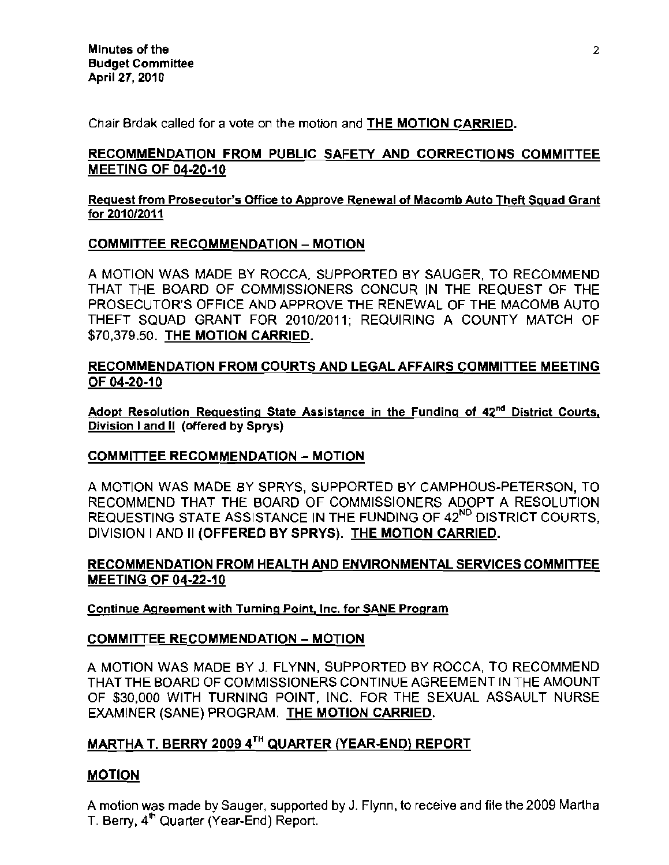Chair Brdak called for a vote on the motion and THE MOTION CARRIED.

# RECOMMENDATION FROM PUBLIC SAFETY AND CORRECTIONS COMMITTEE MEETING OF 04-20-10

#### **Request from Prosecutor's Office to Approve Renewal of Macomb Auto Theft Squad Grant**  for *2010/2011*

## COMMITTEE RECOMMENDATION - MOTION

A MOTION WAS MADE BY ROCCA, SUPPORTED BY SAUGER, TO RECOMMEND THAT THE BOARD OF COMMISSIONERS CONCUR IN THE REQUEST OF THE PROSECUTOR'S OFFICE AND APPROVE THE RENEWAL OF THE MACOMB AUTO THEFT SQUAD GRANT FOR 2010/2011; REQUIRING A COUNTY MATCH OF \$70,379.50. THE MOTION CARRIED.

## RECOMMENDATION FROM COURTS AND LEGAL AFFAIRS COMMITTEE MEETING OF 04-20-10

**Adopt Resolution Requesting State Assistance in the Fundinq of 42nd District Courts, Division I and II (offered by Sprys)** 

## COMMITTEE RECOMMENDATION - MOTION

A MOTION WAS MADE BY SPRYS, SUPPORTED BY CAMPHOUS-PETERSON, TO RECOMMEND THAT THE BOARD OF COMMISSIONERS ADOPT A RESOLUTION REQUESTING STATE ASSISTANCE IN THE FUNDING OF 42<sup>ND</sup> DISTRICT COURTS. DIVISION I AND II (OFFERED BY SPRYS). THE MOTION CARRIED.

## RECOMMENDATION FROM HEALTH AND ENVIRONMENTAL SERVICES COMMITTEE MEETING OF 04-22-10

## **Continue Agreement with Turning Point. Inc. for SANE Program**

## COMMITTEE RECOMMENDATION - MOTION

A MOTION WAS MADE BY J. FLYNN, SUPPORTED BY ROCCA, TO RECOMMEND THATTHE BOARD OF COMMISSIONERS CONTINUE AGREEMENT IN THE AMOUNT OF \$30,000 WITH TURNING POINT, INC. FOR THE SEXUAL ASSAULT NURSE EXAMINER (SANE) PROGRAM. THE MOTION CARRIED.

# MARTHA T. BERRY 2009 4TH QUARTER (YEAR-END) REPORT

## MOTION

A motion was made by Sauger, supported by J. Flynn, to receive and file the 2009 Martha T. Berry, 4'" Quarter (Year-End) Report.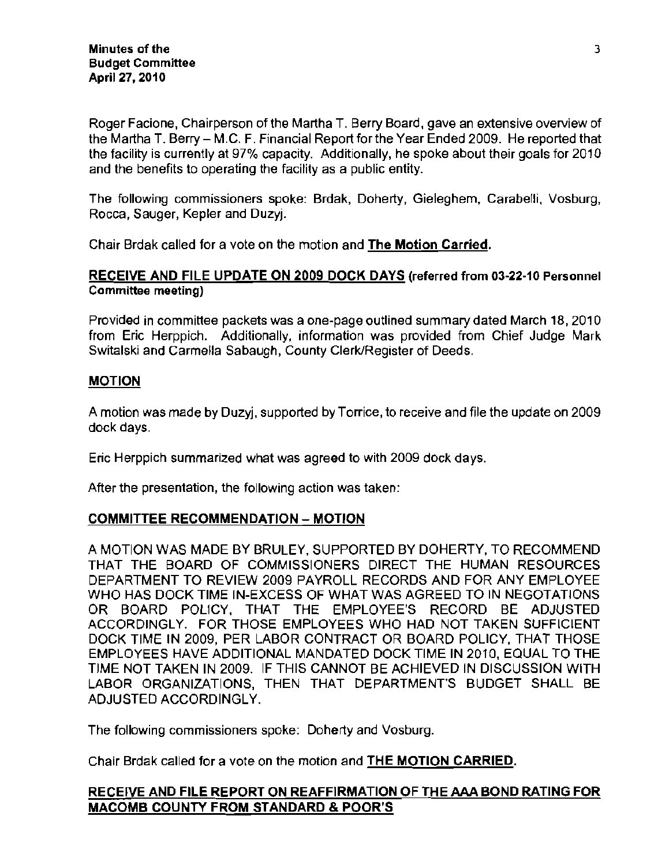Roger Facione, Chairperson of the Martha T. Berry Board, gave an extensive overview of the Martha T. Berry - M.C. F. Financial Report for the Year Ended 2009. He reported that the facility is currently at 97% capacity. Additionally, he spoke about their goals for 2010 and the benefits to operating the facility as a public entity.

The following commissioners spoke: Brdak, Doherty, Gieleghem, Carabelli, Vosburg, Rocca, Sauger, Kepler and Duzyj.

Chair Brdak called for a vote on the motion and The Motion Carried.

#### RECEIVE AND FILE UPDATE ON 2009 DOCK DAYS (referred from 03-22-10 Personnel **Committee meeting)**

Provided in committee packets was a one-page outlined summary dated March 18,2010 from Eric Herppich. Additionally, information was provided from Chief Judge Mark Switalski and Carmella Sabaugh, County Clerk/Register of Deeds.

#### MOTION

A motion was made by Duzyj, supported by Torrice, to receive and file the update on 2009 dock days.

Eric Herppich summarized what was agreed to with 2009 dock days.

After the presentation, the following action was taken:

## COMMITTEE RECOMMENDATION - MOTION

A MOTION WAS MADE BY BRULEY, SUPPORTED BY DOHERTY, TO RECOMMEND THAT THE BOARD OF COMMISSIONERS DIRECT THE HUMAN RESOURCES DEPARTMENT TO REVIEW 2009 PAYROLL RECORDS AND FOR ANY EMPLOYEE WHO HAS DOCK TIME IN-EXCESS OF WHAT WAS AGREED TO IN NEGOTATIONS OR BOARD POLICY, THAT THE EMPLOYEE'S RECORD BE ADJUSTED ACCORDINGLY. FOR THOSE EMPLOYEES WHO HAD NOT TAKEN SUFFICIENT DOCK TIME IN 2009, PER LABOR CONTRACT OR BOARD POLICY, THAT THOSE EMPLOYEES HAVE ADDITIONAL MANDATED DOCK TIME IN 2010, EQUAL TO THE TIME NOT TAKEN IN 2009. IF THIS CANNOT BE ACHIEVED IN DISCUSSION WiTH LABOR ORGANIZATIONS, THEN THAT DEPARTMENT'S BUDGET SHALL BE ADJUSTED ACCORDINGLY.

The following commissioners spoke: Doherty and Vosburg.

Chair Brdak called for a vote on the motion and THE MOTION CARRIED.

#### RECEIVE AND FILE REPORT ON REAFFIRMATION OF THE AAA BOND RATING FOR MACOMB COUNTY FROM STANDARD & POOR'S